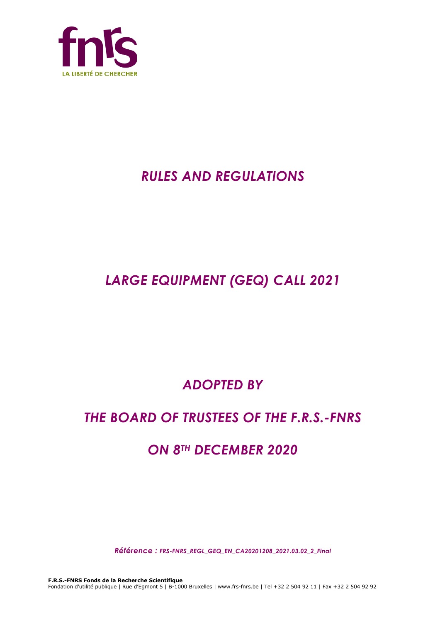

# *RULES AND REGULATIONS*

# *LARGE EQUIPMENT (GEQ) CALL 2021*

# *ADOPTED BY*

# *THE BOARD OF TRUSTEES OF THE F.R.S.-FNRS*

# *ON 8TH DECEMBER 2020*

*Référence : FRS-FNRS\_REGL\_GEQ\_EN\_CA20201208\_2021.03.02\_2\_Final*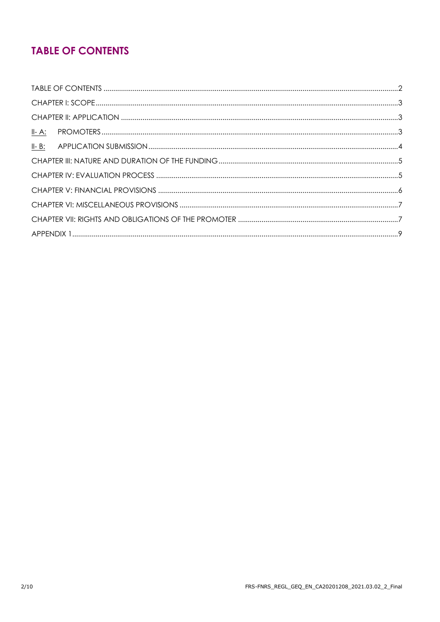## **TABLE OF CONTENTS**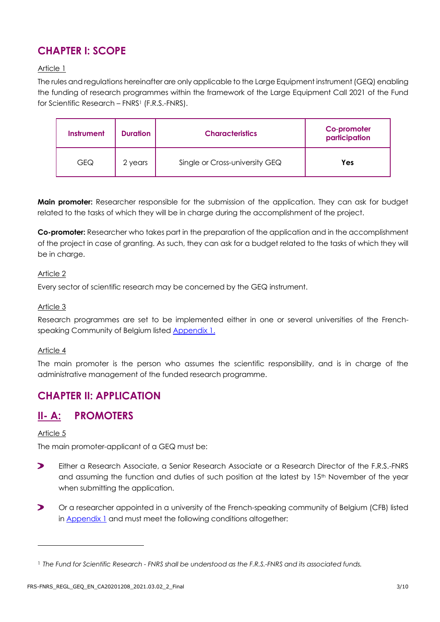## **CHAPTER I: SCOPE**

### Article 1

The rules and regulations hereinafter are only applicable to the Large Equipment instrument (GEQ) enabling the funding of research programmes within the framework of the Large Equipment Call 2021 of the Fund for Scientific Research – FNRS1 (F.R.S.-FNRS).

| Instrument | <b>Duration</b> | <b>Characteristics</b>         | Co promoter<br>participation |
|------------|-----------------|--------------------------------|------------------------------|
| GEQ        | 2 years         | Single or Cross-university GEQ | Yes                          |

**Main promoter:** Researcher responsible for the submission of the application. They can ask for budget related to the tasks of which they will be in charge during the accomplishment of the project.

**Co-promoter:** Researcher who takes part in the preparation of the application and in the accomplishment of the project in case of granting. As such, they can ask for a budget related to the tasks of which they will be in charge.

### Article 2

Every sector of scientific research may be concerned by the GEQ instrument.

### Article 3

Research programmes are set to be implemented either in one or several universities of the Frenchspeaking Community of Belgium listed **[Appendix 1.](#page-8-0)** 

### Article 4

The main promoter is the person who assumes the scientific responsibility, and is in charge of the administrative management of the funded research programme.

### **CHAPTER II: APPLICATION**

## **II- A: PROMOTERS**

### Article 5

The main promoter-applicant of a GEQ must be:

- $\blacktriangleright$ Either a Research Associate, a Senior Research Associate or a Research Director of the F.R.S.-FNRS and assuming the function and duties of such position at the latest by 15<sup>th</sup> November of the year when submitting the application.
- $\blacktriangleright$ Or a researcher appointed in a university of the French-speaking community of Belgium (CFB) listed in [Appendix 1](#page-8-0) and must meet the following conditions altogether:

<sup>1</sup> *The Fund for Scientific Research - FNRS shall be understood as the F.R.S.-FNRS and its associated funds.*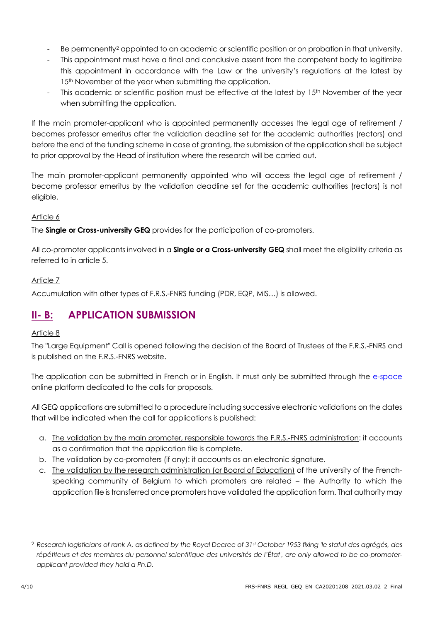- Be permanently<sup>2</sup> appointed to an academic or scientific position or on probation in that university.
- This appointment must have a final and conclusive assent from the competent body to legitimize this appointment in accordance with the Law or the university's regulations at the latest by 15<sup>th</sup> November of the year when submitting the application.
- This academic or scientific position must be effective at the latest by 15<sup>th</sup> November of the year when submitting the application.

If the main promoter-applicant who is appointed permanently accesses the legal age of retirement / becomes professor emeritus after the validation deadline set for the academic authorities (rectors) and before the end of the funding scheme in case of granting, the submission of the application shall be subject to prior approval by the Head of institution where the research will be carried out.

The main promoter-applicant permanently appointed who will access the legal age of retirement / become professor emeritus by the validation deadline set for the academic authorities (rectors) is not eligible.

### Article 6

The **Single or Cross-university GEQ** provides for the participation of co-promoters.

All co-promoter applicants involved in a **Single or a Cross-university GEQ** shall meet the eligibility criteria as referred to in article 5.

### Article 7

Accumulation with other types of F.R.S.-FNRS funding (PDR, EQP, MIS…) is allowed.

## **II- B: APPLICATION SUBMISSION**

### Article 8

The "Large Equipment" Call is opened following the decision of the Board of Trustees of the F.R.S.-FNRS and is published on the F.R.S.-FNRS website.

The application can be submitted in French or in English. It must only be submitted through the [e-space](https://e-space.frs-fnrs.be/) online platform dedicated to the calls for proposals.

All GEQ applications are submitted to a procedure including successive electronic validations on the dates that will be indicated when the call for applications is published:

- a. The validation by the main promoter, responsible towards the F.R.S.-FNRS administration: it accounts as a confirmation that the application file is complete.
- b. The validation by co-promoters (if any): it accounts as an electronic signature.
- c. The validation by the research administration (or Board of Education) of the university of the Frenchspeaking community of Belgium to which promoters are related – the Authority to which the application file is transferred once promoters have validated the application form. That authority may

<sup>2</sup> *Research logisticians of rank A, as defined by the Royal Decree of 31st October 1953 fixing 'le statut des agrégés, des répétiteurs et des membres du personnel scientifique des universités de l'État', are only allowed to be co-promoterapplicant provided they hold a Ph.D.*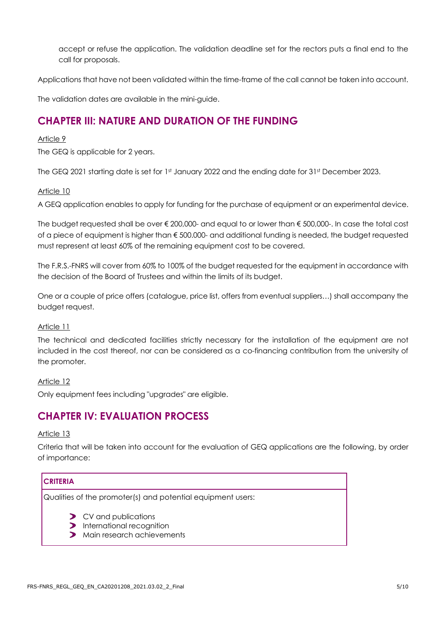accept or refuse the application. The validation deadline set for the rectors puts a final end to the call for proposals.

Applications that have not been validated within the time-frame of the call cannot be taken into account.

The validation dates are available in the mini-guide.

### **CHAPTER III: NATURE AND DURATION OF THE FUNDING**

### Article 9

The GEQ is applicable for 2 years.

The GEQ 2021 starting date is set for 1st January 2022 and the ending date for 31st December 2023.

### Article 10

A GEQ application enables to apply for funding for the purchase of equipment or an experimental device.

The budget requested shall be over € 200,000- and equal to or lower than € 500,000-. In case the total cost of a piece of equipment is higher than € 500.000- and additional funding is needed, the budget requested must represent at least 60% of the remaining equipment cost to be covered.

The F.R.S.-FNRS will cover from 60% to 100% of the budget requested for the equipment in accordance with the decision of the Board of Trustees and within the limits of its budget.

One or a couple of price offers (catalogue, price list, offers from eventual suppliers…) shall accompany the budget request.

### Article 11

The technical and dedicated facilities strictly necessary for the installation of the equipment are not included in the cost thereof, nor can be considered as a co-financing contribution from the university of the promoter.

### Article 12

Only equipment fees including "upgrades" are eligible.

### **CHAPTER IV: EVALUATION PROCESS**

### Article 13

Criteria that will be taken into account for the evaluation of GEQ applications are the following, by order of importance:

### **CRITERIA**

Qualities of the promoter(s) and potential equipment users:

- CV and publications  $\blacktriangleright$
- **>** International recognition
- Main research achievements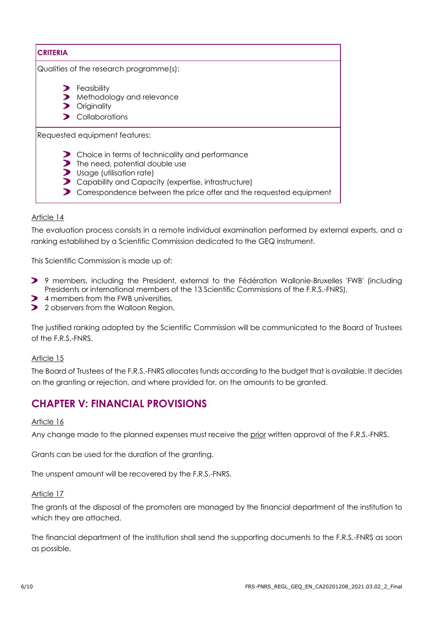| <b>CRITERIA</b>                         |                                                                                                                                                                                                                                            |  |  |  |
|-----------------------------------------|--------------------------------------------------------------------------------------------------------------------------------------------------------------------------------------------------------------------------------------------|--|--|--|
| Qualities of the research programme(s): |                                                                                                                                                                                                                                            |  |  |  |
| $\mathbf{z}$                            | $\blacktriangleright$ Feasibility<br>Methodology and relevance<br>Originality<br>$\sum$ Collaborations                                                                                                                                     |  |  |  |
|                                         | Requested equipment features:                                                                                                                                                                                                              |  |  |  |
| ↗<br>◢.                                 | Choice in terms of technicality and performance<br>The need, potential double use<br>Usage (utilisation rate)<br>Capability and Capacity (expertise, infrastructure)<br>Correspondence between the price offer and the requested equipment |  |  |  |

### Article 14

The evaluation process consists in a remote individual examination performed by external experts, and a ranking established by a Scientific Commission dedicated to the GEQ instrument.

This Scientific Commission is made up of:

- 9 members, including the President, external to the Fédération Wallonie-Bruxelles 'FWB' (including Presidents or international members of the 13 Scientific Commissions of the F.R.S.-FNRS),
- **2** 4 members from the FWB universities,
- 2 observers from the Walloon Region.

The justified ranking adopted by the Scientific Commission will be communicated to the Board of Trustees of the F.R.S.-FNRS.

### Article 15

The Board of Trustees of the F.R.S.-FNRS allocates funds according to the budget that is available. It decides on the granting or rejection, and where provided for, on the amounts to be granted.

### **CHAPTER V: FINANCIAL PROVISIONS**

#### Article 16

Any change made to the planned expenses must receive the prior written approval of the F.R.S.-FNRS.

Grants can be used for the duration of the granting.

The unspent amount will be recovered by the F.R.S.-FNRS.

#### Article 17

The grants at the disposal of the promoters are managed by the financial department of the institution to which they are attached.

The financial department of the institution shall send the supporting documents to the F.R.S.-FNRS as soon as possible.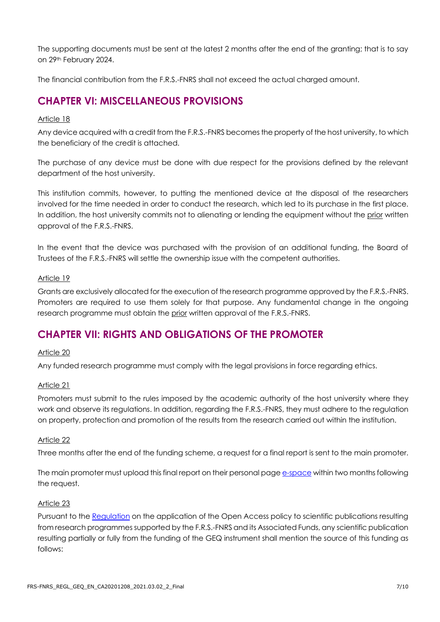The supporting documents must be sent at the latest 2 months after the end of the granting; that is to say on 29th February 2024.

The financial contribution from the F.R.S.-FNRS shall not exceed the actual charged amount.

### **CHAPTER VI: MISCELLANEOUS PROVISIONS**

### Article 18

Any device acquired with a credit from the F.R.S.-FNRS becomes the property of the host university, to which the beneficiary of the credit is attached.

The purchase of any device must be done with due respect for the provisions defined by the relevant department of the host university.

This institution commits, however, to putting the mentioned device at the disposal of the researchers involved for the time needed in order to conduct the research, which led to its purchase in the first place. In addition, the host university commits not to alienating or lending the equipment without the prior written approval of the F.R.S.-FNRS.

In the event that the device was purchased with the provision of an additional funding, the Board of Trustees of the F.R.S.-FNRS will settle the ownership issue with the competent authorities.

### Article 19

Grants are exclusively allocated for the execution of the research programme approved by the F.R.S.-FNRS. Promoters are required to use them solely for that purpose. Any fundamental change in the ongoing research programme must obtain the prior written approval of the F.R.S.-FNRS.

### **CHAPTER VII: RIGHTS AND OBLIGATIONS OF THE PROMOTER**

### Article 20

Any funded research programme must comply with the legal provisions in force regarding ethics.

### Article 21

Promoters must submit to the rules imposed by the academic authority of the host university where they work and observe its regulations. In addition, regarding the F.R.S.-FNRS, they must adhere to the regulation on property, protection and promotion of the results from the research carried out within the institution.

### Article 22

Three months after the end of the funding scheme, a request for a final report is sent to the main promoter.

The main promoter must upload this final report on their personal page [e-space](https://e-space.frs-fnrs.be/) within two months following the request.

### Article 23

Pursuant to the [Regulation](https://www.frs-fnrs.be/docs/Reglement_OPEN_ACCESS_EN.pdf) on the application of the Open Access policy to scientific publications resulting from research programmes supported by the F.R.S.-FNRS and its Associated Funds, any scientific publication resulting partially or fully from the funding of the GEQ instrument shall mention the source of this funding as follows: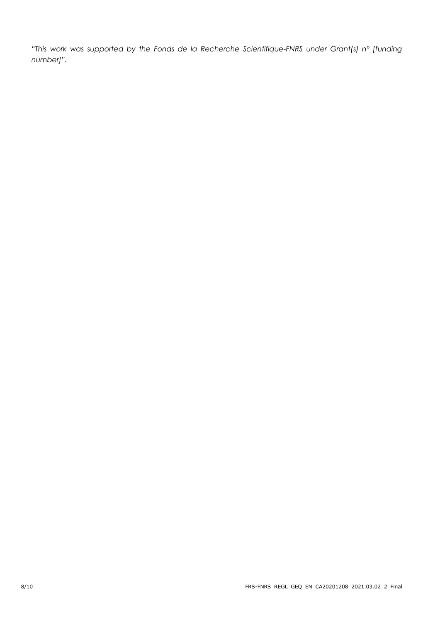*"This work was supported by the Fonds de la Recherche Scientifique-FNRS under Grant(s) n° [funding number]".*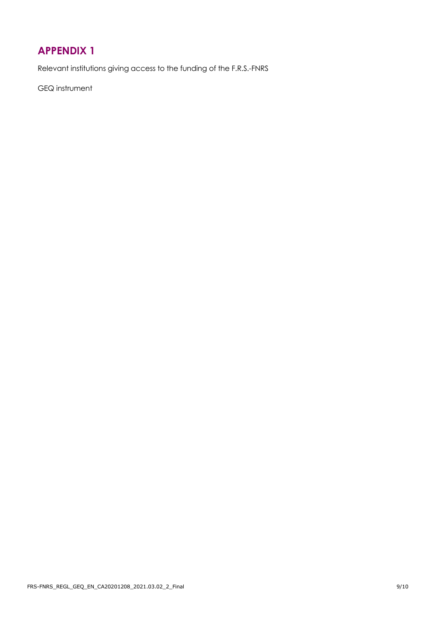## <span id="page-8-0"></span>**APPENDIX 1**

Relevant institutions giving access to the funding of the F.R.S.-FNRS

GEQ instrument